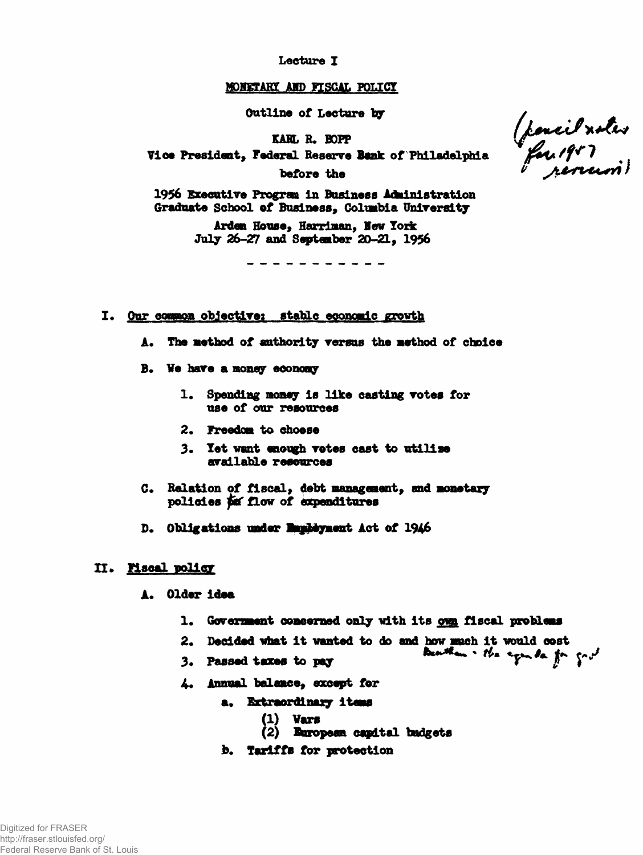Lecture I

## MONETARY AND FISCAL POLICY

Outline of Lecture by

KARL R. BOPP

Vice President, Federal Reserve Bank of Philadelphia

before the

1956 Executive Program in Business Administration Graduate School of Business, Columbia University

> Arden House, Harriman, New York July 26-27 and September 20-21, 1956

- I. Our common objective: stable economic growth
	- A. The method of authority versus the method of choice
	- B. We have a money economy
		- 1. Spending money is like casting votes for use of our resources
		- 2. Freedom to choose
		- 3. Yet want enough votes cast to utilise available resources
	- C. Relation of fiscal, debt management, and monetary policies for flow of expenditures
	- D. Obligations under Employment Act of 1946

## II. Mscal policy

- A. Older idea
	- 1. Government conserned only with its own fiscal problems
	- 2. Decided what it wanted to do and how much it would cost
	- Deatham the equator for good 3. Passed taxes to pay
	- 4. Annual balance, except for
		- a. Extraordinary items
			- **(1)** Vars
			- (2) European capital badgets
		- b. Tariffs for protection

(pencil xotes<br>"for 1957<br>"reversion")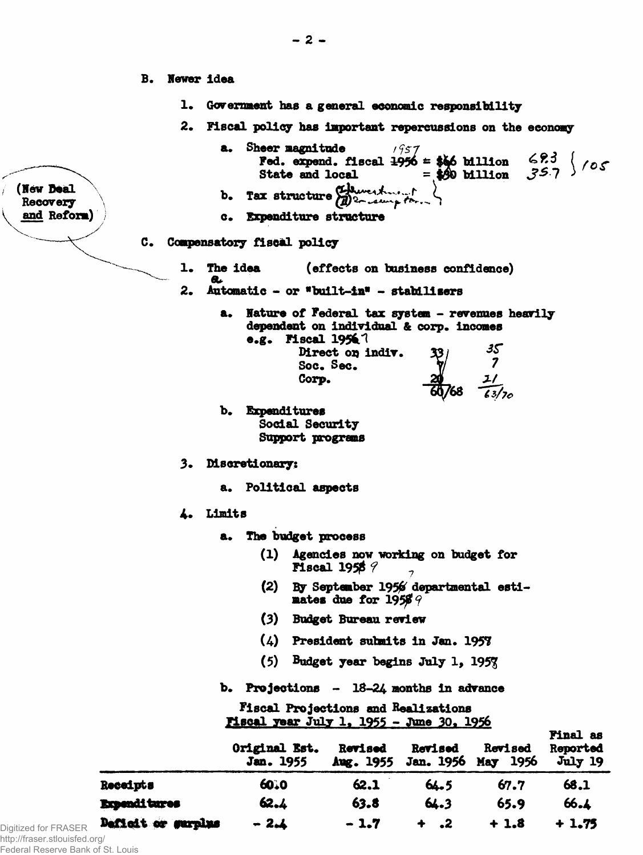- **B.** Newer idea
	- Government has a general economic responsibility ı.
	- $2.$ Fiscal policy has important repercussions on the economy
- $1957$ Fed. expend. fiscal  $1956 = $66$  billion  $693 / 105$ State and local  $= $60$  billion Tax structure Edward of  $\mathbf{b}$ a. Expenditure structure C. Compensatory fiscal policy 1. The idea (effects on business confidence) a.  $2.$ Automatic - or "built-in" - stabilisers Nature of Federal tax system - revenues heavily a. dependent on individual & corp. incomes e.g. Fiscal  $1956$  ? Direct on indiv.  $\frac{7}{1}$ Soc. Sec. Corp. b. Expenditures Social Security Support programs 3. Discretionary: a. Political aspects 4. Limits a. The budget process (1) Agencies now working on budget for Fiscal 1958  $\beta$ By September 1956 departmental esti- $(2)$ mates due for  $19569$ (3) Budget Bureau review (4) President submits in Jan. 1957  $(5)$ Budget year begins July 1, 1957 b. Projections  $-18-24$  months in advance Fiscal Projections and Realizations <u> Miscal year July 1, 1955 - June 30, 1956</u> **Final** as Original Est. **Revised** Revised Revised Reported

|                               |                     | <b>Jan. 1955</b> |        |        | Aug. 1955 Jan. 1950 May 1950 | <b>JULY 19</b> |
|-------------------------------|---------------------|------------------|--------|--------|------------------------------|----------------|
|                               | Receipts            | 6010             | 62.1   | 64.5   | 67.7                         | 68.1           |
|                               | <b>Expenditures</b> | 62.4             | 63.8   | 64.3   | 65.9                         | 66.1           |
| Digitized for FRASER          | Defiedt or surplus  | $-2.1$           | $-1.7$ | $+$ .2 | $+1.8$                       | $+1.75$        |
| http://fraser.stlouisfed.org/ |                     |                  |        |        |                              |                |

http://fraser.stlouisfed. Federal Reserve Bank of St. Louis

(New Deal

Recovery and Reform) a. Sheer magnitude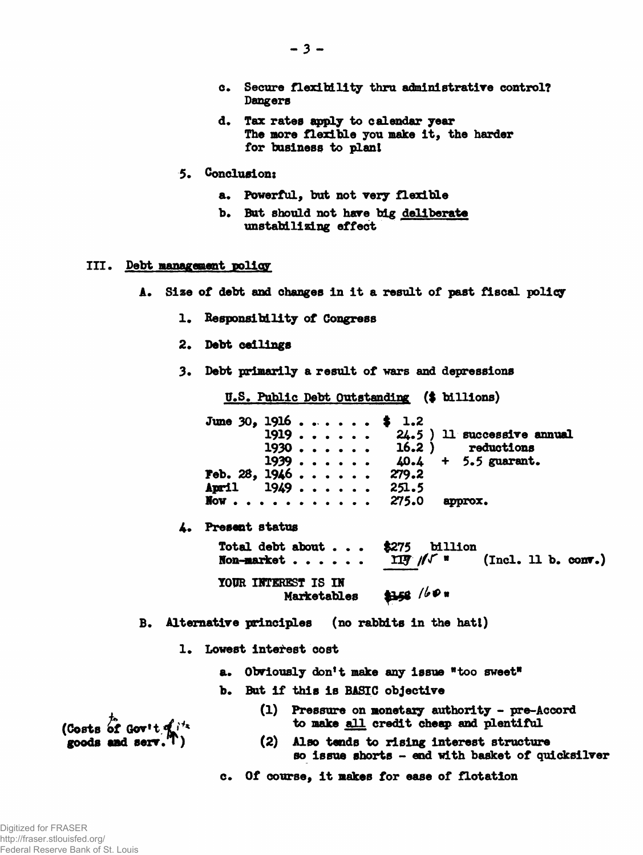- **o\* Secure flexibility thru administratire control? Dangers**
- **d. Tax rates apply to calendar year The more flexible you make it, the harder for business to plant**
- **5. Conclusion:**
	- **a. Powerful, but not very flexible**
	- **b. But should not have big deliberate unstabilising effect**

## **III. Debt Management policy**

- **A. Size of debt and changes in it a result of past fiscal policy**
	- **1, Responsibility of Congress**
	- **2. Debt ceilings**
	- **3« Debt primarily a result of wars and depressions**

**U.S. Public Debt Outstanding (\$ billions)**

**June 30, 1916 ....... \$ 1.2**<br>1919 ...... 24.5 24.5 ) 11 successive annual<br>16.2 ) reductions 1930 . . . . . . 16.2 ) reductions<br>1939 . . . . . . 40.4 + 5.5 guarant. **1939 . . . . . . 40.4**<br>**1946 . . . . . . 279.2 Feb. 28, 1946 ...... April 1949....... 251.5**<br>**Now............ 275.0 approx. l o w .................. 275.0 approx. 4. Present status** Total debt about . . .  $$275$  billion<br>**Non-market** . . . . . . IIF  $\sqrt{4}$  **" Non-market** . . . . . **117**  $\sqrt{r}$  **"** (Incl. 11 b. conv.) **TOUR INTEREST IS IN**  $4158 / 60$  # **Mazketables**

**B. Alternative principles (no rabbits in the hatl)**

- 1. Lowest interest cost
	- **a. Obviously don't make any issue "too sweet"**
	- **b. But if this is BASIC objective**
- **, (1) Pressure on monetaxy authority pre-Accord** (Costs of Gov<sup>+t</sup>  $\mathbf{q}^{i\!t}$  to make all credit cheap and plentiful
- **goods and serr.Tj (2) Also tends to rising interest structure so issue shorts - end with basket of quicksilver**

**c. Of course, it makes for ease of flotation**

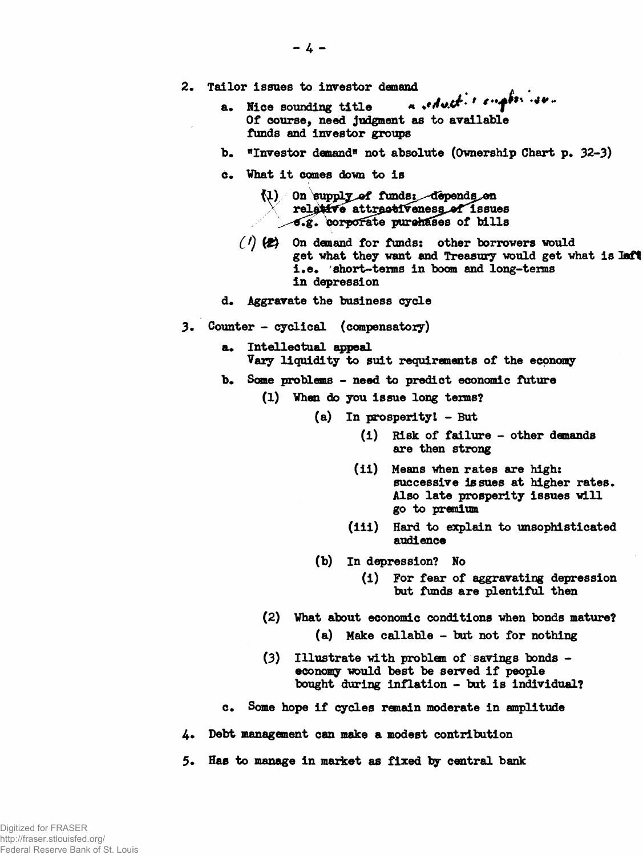- **2. Tailor issues to investor demand ^ . .**
	- **a. Hice sounding title «** *\*'* **♦<\*\*- Of course, need judgment as to available funds and investor groups**
	- **b.** "Investor demand" not absolute (Ownership Chart p. 32-3)
	- **c. What it eomes down to is**
		- (1) On supply of funds: depends on relative attractiveness of issues  $\epsilon$ .g. corporate purchases of bills
		- *Cl)* **On demand for funds: other borrowers would** get what they want and Treasury would get what is laft **i.e. short-teims in boom and long-tems in depression**
	- **d. Aggravate the business cycle**
- **3. Counter cyclical (compensatory)**
	- **a. Intellectual appeal Vary liquidity to suit requirements of the economy**
	- **b. Some problems need to predict economic future**
		- **(1) When do you issue long terms?**
			- **(a) In prosperltyl But**
				- **(i) Risk of failure other demands are then strong**
				- **(ii) Means when rates are high: successive issues at higher rates. Also late prosperity issues will go to premium**
				- **(iii) Hard to explain to unsophisticated audience**
			- **(b) In depression? No**
				- **(i) For fear of aggravating depression but funds are plentiful then**
		- **(2) What about economic conditions when bonds mature?**
			- **(a) Make callable but not for nothing**
		- **(3) Illustrate with problem of savings bonds economy would best be served if people bought during inflation - but is individual?**
	- **c. Some hope if cycles remain moderate in amplitude**
- **4\* Debt management can make a modest contribution**
- **5. Has to manage in market as fixed by central bank**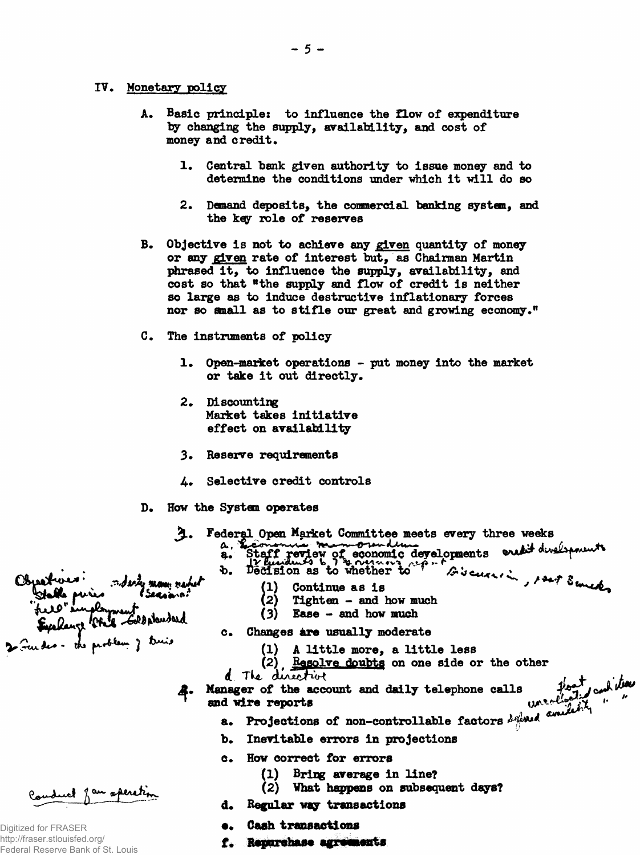## **IV. Monetary policy**

- **A. Basic principle: to influence the flow of expenditure by changing the supply, availability, and cost of money and credit.**
	- **1. Central bank given authority to issue money and to determine the conditions under which it will do so**
	- **2. Demand deposits, the commercial banking system, and the key role of reserves**
- **B. Objective is not to achieve any given quantity of money or any given rate of interest but, as Chairman Martin phrased it, to influence the supply, availability, and cost so that "the supply and flow of credit is neither so large as to induce destructive inflationary forces nor so email as to stifle our great and growing economy."**
- **C. The instruments of policy**
	- **1. Open-market operations put money into the market or take it out directly.**
	- **2. Discounting Market takes initiative effect on availability**
	- **3. Reserve requirements**
	- **4.. Selective credit controls**
- **D. How the System operates**

moderny money marked Sergaras

- **Federal Open Market Committee meets every three weeks** 4.
	- 2. Staff review of economic developments excludively ments opponts order underman
		- -
			- (1) Continue as is<br>
			(2) Tighten and<br>
			(3) Fase and how **Tighten - and how much**
			- **(3) Ease and how much**
		- **c. Changes ure usually moderate**
			- **(1) A little more, a little less**
			- (2) **Resolve doubts** on one side or the other
	- d The directive  $l + \lambda^2 h$
- **Manager of the account and daily telephone calls** and wire reports  $w^* \in \mathbb{R}$   $w^* \in \mathbb{R}$   $w^* \in \mathbb{R}$   $w^* \in \mathbb{R}$   $w^* \in \mathbb{R}$ 
	- **a.** Projections of non-controllable factors *H\*\*\*\*\**
	- **b. Inevitable errors in projections**
	- **c. How correct for errors**
		- **(1) Bring average in line?**
		- **(2) Vhat happens on subsequent days?**
	- **d. Regular way transactions**
	- **•. Cash transactions**
	- **f.**

Conduct fou operation

le puis

2 Fuedes - des problem j truis

field singlyment

Digitized for FRASER http://fraser.stlouisfed.org/ Federal Reserve Bank of St. Louis